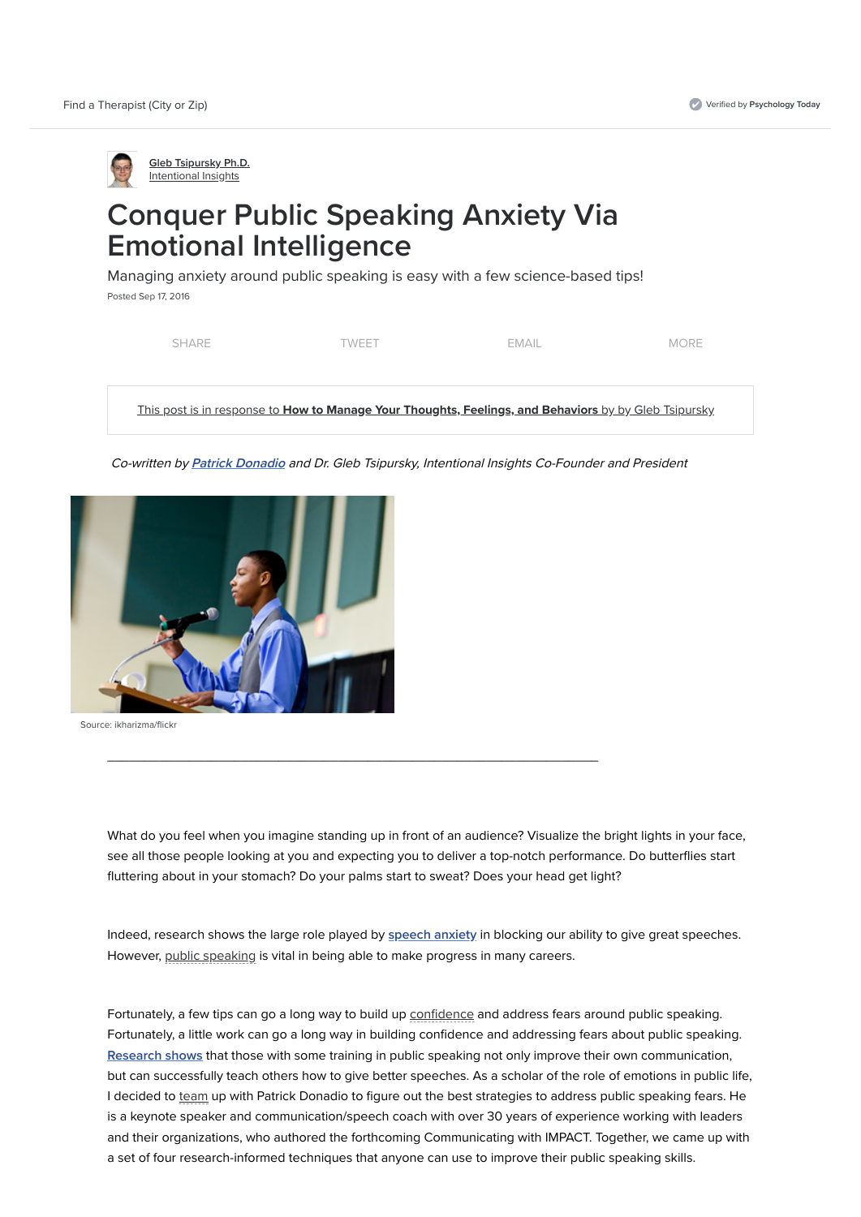



Source: ikharizma/flickr

# Conquer Public Speaking Anxiety Via Emotional Intelligence

Managing anxiety around public speaking is easy with a few science-based tips!

Posted Sep 17, 2016

| This post is in response to How to Manage Your Thoughts, Feelings, and Behaviors by by Gleb Tsipursky |       |       |             |  |  |
|-------------------------------------------------------------------------------------------------------|-------|-------|-------------|--|--|
|                                                                                                       |       |       |             |  |  |
| <b>SHARE</b>                                                                                          | TWFFT | FMAIL | <b>MORE</b> |  |  |

Co-written by **[Patrick Donadio](http://www.patrickdonadio.com/)** and Dr. Gleb Tsipursky, Intentional Insights Co-Founder and President



Indeed, research shows the large role played by [speech anxiety](http://www.sciencedirect.com/science/article/pii/000579679400072R) in blocking our ability to give great speeches. However, [public speaking](https://www.psychologytoday.com/basics/stage-fright) is vital in being able to make progress in many careers.

What do you feel when you imagine standing up in front of an audience? Visualize the bright lights in your face, see all those people looking at you and expecting you to deliver a top-notch performance. Do butterflies start fluttering about in your stomach? Do your palms start to sweat? Does your head get light?

 $\overline{\phantom{a}}$  , and the contract of the contract of the contract of the contract of the contract of the contract of the contract of the contract of the contract of the contract of the contract of the contract of the contrac

Fortunately, a few tips can go a long way to build up [confidence](https://www.psychologytoday.com/basics/confidence) and address fears around public speaking. Fortunately, a little work can go a long way in building confidence and addressing fears about public speaking. [Research shows](https://www.academia.edu/5431076/Public_speaking_treatment._Trainer._trainee) that those with some training in public speaking not only improve their own communication, but can successfully teach others how to give better speeches. As a scholar of the role of emotions in public life, I decided to [team](https://www.psychologytoday.com/basics/teamwork) up with Patrick Donadio to figure out the best strategies to address public speaking fears. He is a keynote speaker and communication/speech coach with over 30 years of experience working with leaders and their organizations, who authored the forthcoming Communicating with IMPACT. Together, we came up with a set of four research-informed techniques that anyone can use to improve their public speaking skills.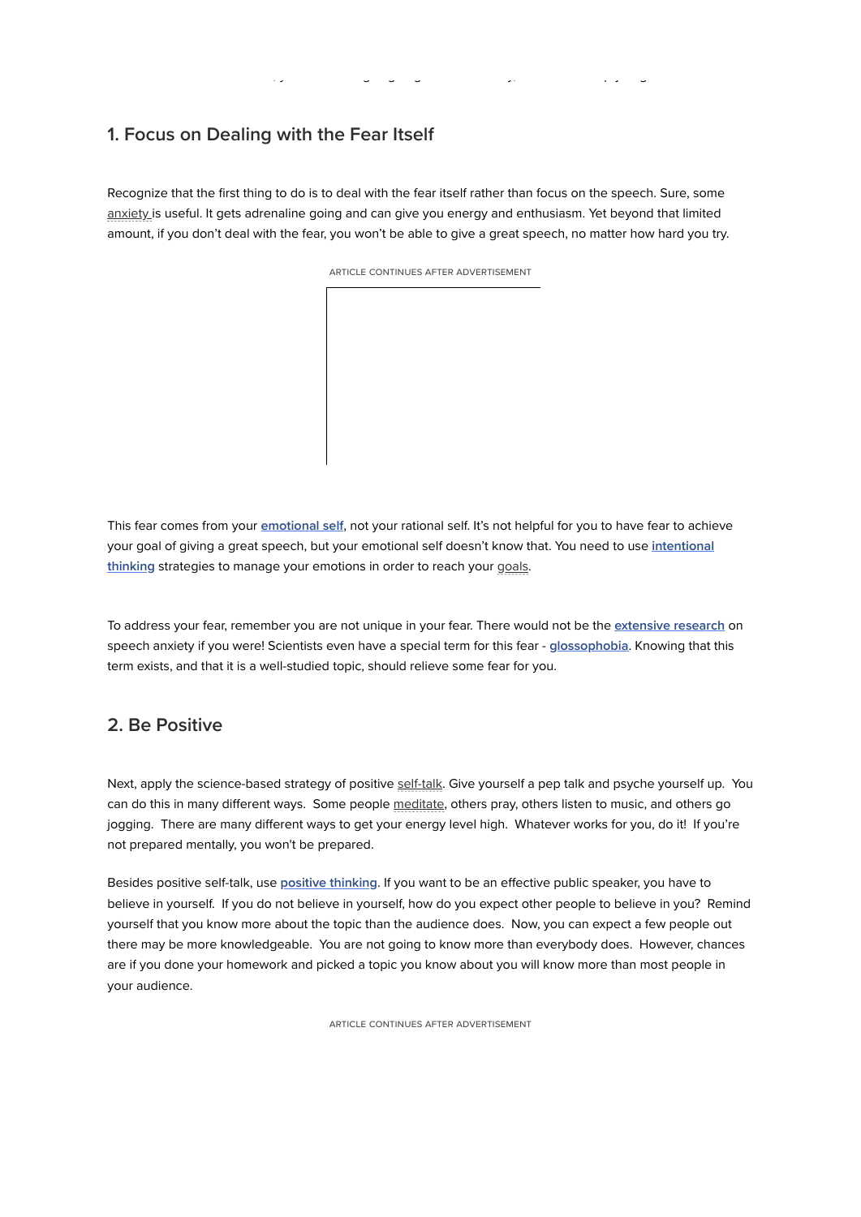death of fear is certain!" Now, you are never going to get rid of it totally, but we can help you get rid of most of it.

ARTICLE CONTINUES AFTER ADVERTISEMENT

This fear comes from your *[emotional self](http://intentionalinsights.org/autopilot-vs-intentional-system-the-rider-and-the-elephant)*, not your rational self. It's not helpful for you to have fear to achieve [your goal of giving a great speech, but your emotional self doesn't know that. You need to use](http://intentionalinsights.org/living-intentionally-3-steps-to-gaining-agency) intentional thinking strategies to manage your emotions in order to reach your [goals.](https://www.psychologytoday.com/basics/motivation)

# 1. Focus on Dealing with the Fear Itself

To address your fear, remember you are not unique in your fear. There would not be the [extensive research](http://www.tandfonline.com/doi/abs/10.1080/03637758109376055) on speech anxiety if you were! Scientists even have a special term for this fear - [glossophobia](https://en.wikipedia.org/wiki/Glossophobia). Knowing that this term exists, and that it is a well-studied topic, should relieve some fear for you.

Recognize that the first thing to do is to deal with the fear itself rather than focus on the speech. Sure, some [anxiety i](https://www.psychologytoday.com/basics/anxiety)s useful. It gets adrenaline going and can give you energy and enthusiasm. Yet beyond that limited amount, if you don't deal with the fear, you won't be able to give a great speech, no matter how hard you try.

Next, apply the science-based strategy of positive [self-talk](https://www.psychologytoday.com/basics/self-talk). Give yourself a pep talk and psyche yourself up. You can do this in many different ways. Some people [meditate](https://www.psychologytoday.com/basics/meditation), others pray, others listen to music, and others go jogging. There are many different ways to get your energy level high. Whatever works for you, do it! If you're not prepared mentally, you won't be prepared.

Besides positive self-talk, use [positive thinking](http://www.mayoclinic.org/healthy-lifestyle/stress-management/in-depth/positive-thinking/art-20043950). If you want to be an effective public speaker, you have to believe in yourself. If you do not believe in yourself, how do you expect other people to believe in you? Remind

#### 2. Be Positive

yourself that you know more about the topic than the audience does. Now, you can expect a few people out there may be more knowledgeable. You are not going to know more than everybody does. However, chances are if you done your homework and picked a topic you know about you will know more than most people in your audience.

ARTICLE CONTINUES AFTER ADVERTISEMENT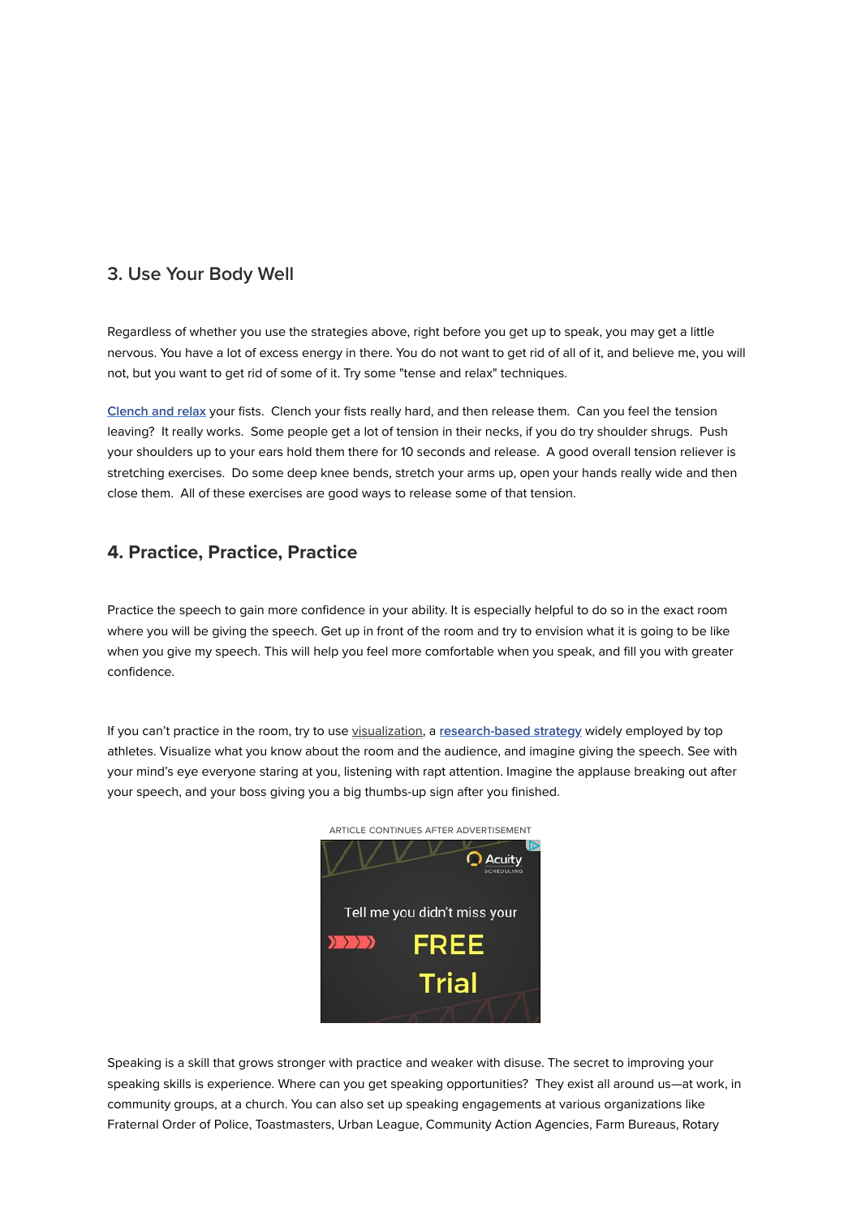

#### 3. Use Your Body Well

Regardless of whether you use the strategies above, right before you get up to speak, you may get a little nervous. You have a lot of excess energy in there. You do not want to get rid of all of it, and believe me, you will not, but you want to get rid of some of it. Try some "tense and relax" techniques.

[Clench and relax](http://intentionalinsights.org/7-surprising-science-based-hacks-to-build-your-willpower) your fists. Clench your fists really hard, and then release them. Can you feel the tension leaving? It really works. Some people get a lot of tension in their necks, if you do try shoulder shrugs. Push your shoulders up to your ears hold them there for 10 seconds and release. A good overall tension reliever is stretching exercises. Do some deep knee bends, stretch your arms up, open your hands really wide and then close them. All of these exercises are good ways to release some of that tension.

If you can't practice in the room, try to use [visualization,](https://www.psychologytoday.com/basics/fantasies) a [research-based strategy](https://books.google.com/books?hl=en&lr=&id=zwc-YNnho0sC&oi=fnd&pg=PA23&dq=visualization+research+sport&ots=A52TQpn6Ae&sig=QkLCh1mydIsA_r8h6tXdkXQAdVI#v=onepage&q=visualization%20research%20sport&f=false) widely employed by top athletes. Visualize what you know about the room and the audience, and imagine giving the speech. See with your mind's eye everyone staring at you, listening with rapt attention. Imagine the applause breaking out after your speech, and your boss giving you a big thumbs-up sign after you finished.

### 4. Practice, Practice, Practice

Practice the speech to gain more confidence in your ability. It is especially helpful to do so in the exact room where you will be giving the speech. Get up in front of the room and try to envision what it is going to be like when you give my speech. This will help you feel more comfortable when you speak, and fill you with greater confidence.

Speaking is a skill that grows stronger with practice and weaker with disuse. The secret to improving your speaking skills is experience. Where can you get speaking opportunities? They exist all around us—at work, in community groups, at a church. You can also set up speaking engagements at various organizations like Fraternal Order of Police, Toastmasters, Urban League, Community Action Agencies, Farm Bureaus, Rotary